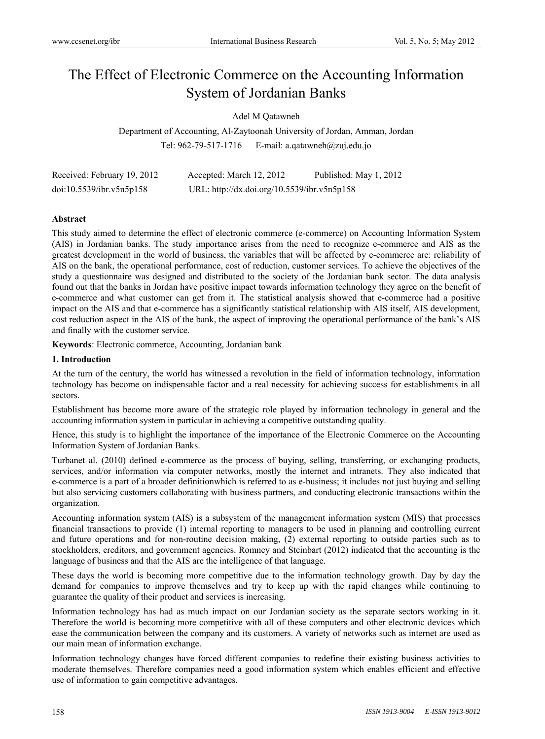# The Effect of Electronic Commerce on the Accounting Information System of Jordanian Banks

# Adel M Qatawneh

Department of Accounting, Al-Zaytoonah University of Jordan, Amman, Jordan Tel: 962-79-517-1716 E-mail: a.qatawneh@zuj.edu.jo

| Received: February 19, 2012 | Accepted: March 12, 2012                    | Published: May 1, 2012 |
|-----------------------------|---------------------------------------------|------------------------|
| doi:10.5539/ibr.v5n5p158    | URL: http://dx.doi.org/10.5539/ibr.v5n5p158 |                        |

### **Abstract**

This study aimed to determine the effect of electronic commerce (e-commerce) on Accounting Information System (AIS) in Jordanian banks. The study importance arises from the need to recognize e-commerce and AIS as the greatest development in the world of business, the variables that will be affected by e-commerce are: reliability of AIS on the bank, the operational performance, cost of reduction, customer services. To achieve the objectives of the study a questionnaire was designed and distributed to the society of the Jordanian bank sector. The data analysis found out that the banks in Jordan have positive impact towards information technology they agree on the benefit of e-commerce and what customer can get from it. The statistical analysis showed that e-commerce had a positive impact on the AIS and that e-commerce has a significantly statistical relationship with AIS itself, AIS development, cost reduction aspect in the AIS of the bank, the aspect of improving the operational performance of the bank's AIS and finally with the customer service.

**Keywords**: Electronic commerce, Accounting, Jordanian bank

#### **1. Introduction**

At the turn of the century, the world has witnessed a revolution in the field of information technology, information technology has become on indispensable factor and a real necessity for achieving success for establishments in all sectors.

Establishment has become more aware of the strategic role played by information technology in general and the accounting information system in particular in achieving a competitive outstanding quality.

Hence, this study is to highlight the importance of the importance of the Electronic Commerce on the Accounting Information System of Jordanian Banks.

Turbanet al. (2010) defined e-commerce as the process of buying, selling, transferring, or exchanging products, services, and/or information via computer networks, mostly the internet and intranets. They also indicated that e-commerce is a part of a broader definitionwhich is referred to as e-business; it includes not just buying and selling but also servicing customers collaborating with business partners, and conducting electronic transactions within the organization.

Accounting information system (AIS) is a subsystem of the management information system (MIS) that processes financial transactions to provide (1) internal reporting to managers to be used in planning and controlling current and future operations and for non-routine decision making, (2) external reporting to outside parties such as to stockholders, creditors, and government agencies. Romney and Steinbart (2012) indicated that the accounting is the language of business and that the AIS are the intelligence of that language.

These days the world is becoming more competitive due to the information technology growth. Day by day the demand for companies to improve themselves and try to keep up with the rapid changes while continuing to guarantee the quality of their product and services is increasing.

Information technology has had as much impact on our Jordanian society as the separate sectors working in it. Therefore the world is becoming more competitive with all of these computers and other electronic devices which ease the communication between the company and its customers. A variety of networks such as internet are used as our main mean of information exchange.

Information technology changes have forced different companies to redefine their existing business activities to moderate themselves. Therefore companies need a good information system which enables efficient and effective use of information to gain competitive advantages.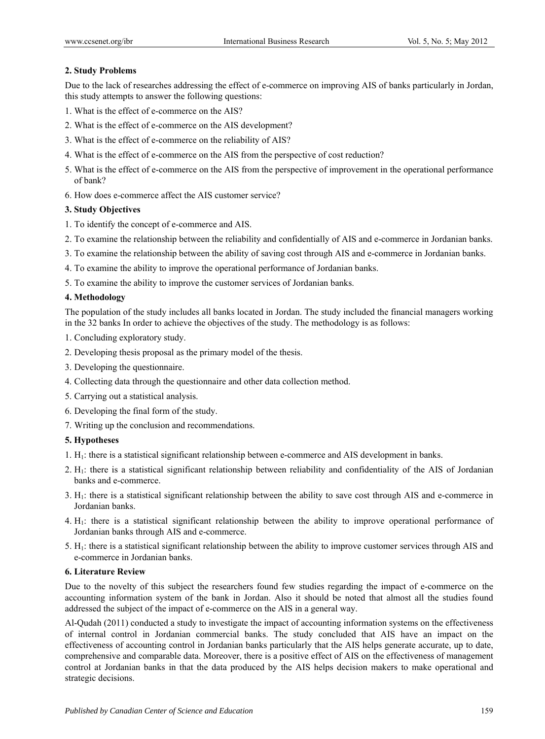# **2. Study Problems**

Due to the lack of researches addressing the effect of e-commerce on improving AIS of banks particularly in Jordan, this study attempts to answer the following questions:

- 1. What is the effect of e-commerce on the AIS?
- 2. What is the effect of e-commerce on the AIS development?
- 3. What is the effect of e-commerce on the reliability of AIS?
- 4. What is the effect of e-commerce on the AIS from the perspective of cost reduction?
- 5. What is the effect of e-commerce on the AIS from the perspective of improvement in the operational performance of bank?
- 6. How does e-commerce affect the AIS customer service?

## **3. Study Objectives**

- 1. To identify the concept of e-commerce and AIS.
- 2. To examine the relationship between the reliability and confidentially of AIS and e-commerce in Jordanian banks.
- 3. To examine the relationship between the ability of saving cost through AIS and e-commerce in Jordanian banks.
- 4. To examine the ability to improve the operational performance of Jordanian banks.
- 5. To examine the ability to improve the customer services of Jordanian banks.

## **4. Methodology**

The population of the study includes all banks located in Jordan. The study included the financial managers working in the 32 banks In order to achieve the objectives of the study. The methodology is as follows:

- 1. Concluding exploratory study.
- 2. Developing thesis proposal as the primary model of the thesis.
- 3. Developing the questionnaire.
- 4. Collecting data through the questionnaire and other data collection method.
- 5. Carrying out a statistical analysis.
- 6. Developing the final form of the study.
- 7. Writing up the conclusion and recommendations.

### **5. Hypotheses**

1. H1: there is a statistical significant relationship between e-commerce and AIS development in banks.

- 2. H1: there is a statistical significant relationship between reliability and confidentiality of the AIS of Jordanian banks and e-commerce.
- 3. H1: there is a statistical significant relationship between the ability to save cost through AIS and e-commerce in Jordanian banks.
- 4. H1: there is a statistical significant relationship between the ability to improve operational performance of Jordanian banks through AIS and e-commerce.
- 5. H1: there is a statistical significant relationship between the ability to improve customer services through AIS and e-commerce in Jordanian banks.

# **6. Literature Review**

Due to the novelty of this subject the researchers found few studies regarding the impact of e-commerce on the accounting information system of the bank in Jordan. Also it should be noted that almost all the studies found addressed the subject of the impact of e-commerce on the AIS in a general way.

Al-Qudah (2011) conducted a study to investigate the impact of accounting information systems on the effectiveness of internal control in Jordanian commercial banks. The study concluded that AIS have an impact on the effectiveness of accounting control in Jordanian banks particularly that the AIS helps generate accurate, up to date, comprehensive and comparable data. Moreover, there is a positive effect of AIS on the effectiveness of management control at Jordanian banks in that the data produced by the AIS helps decision makers to make operational and strategic decisions.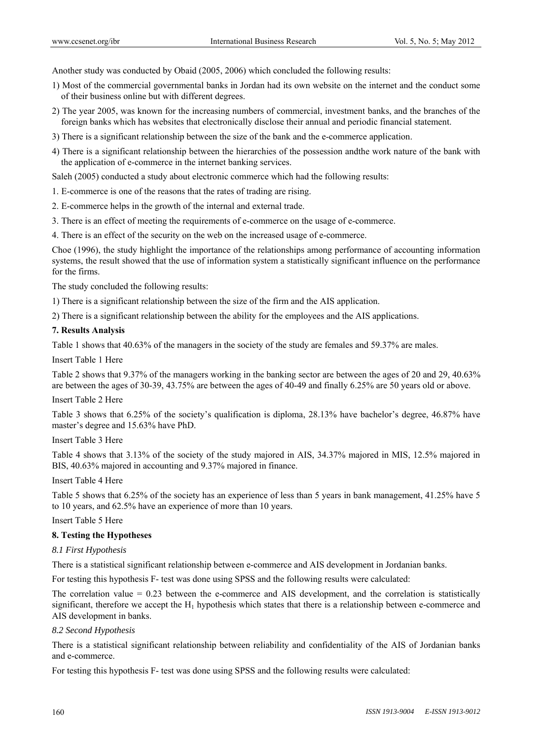Another study was conducted by Obaid (2005, 2006) which concluded the following results:

- 1) Most of the commercial governmental banks in Jordan had its own website on the internet and the conduct some of their business online but with different degrees.
- 2) The year 2005, was known for the increasing numbers of commercial, investment banks, and the branches of the foreign banks which has websites that electronically disclose their annual and periodic financial statement.
- 3) There is a significant relationship between the size of the bank and the e-commerce application.
- 4) There is a significant relationship between the hierarchies of the possession andthe work nature of the bank with the application of e-commerce in the internet banking services.

Saleh (2005) conducted a study about electronic commerce which had the following results:

- 1. E-commerce is one of the reasons that the rates of trading are rising.
- 2. E-commerce helps in the growth of the internal and external trade.
- 3. There is an effect of meeting the requirements of e-commerce on the usage of e-commerce.
- 4. There is an effect of the security on the web on the increased usage of e-commerce.

Choe (1996), the study highlight the importance of the relationships among performance of accounting information systems, the result showed that the use of information system a statistically significant influence on the performance for the firms.

The study concluded the following results:

1) There is a significant relationship between the size of the firm and the AIS application.

2) There is a significant relationship between the ability for the employees and the AIS applications.

#### **7. Results Analysis**

Table 1 shows that 40.63% of the managers in the society of the study are females and 59.37% are males.

Insert Table 1 Here

Table 2 shows that 9.37% of the managers working in the banking sector are between the ages of 20 and 29, 40.63% are between the ages of 30-39, 43.75% are between the ages of 40-49 and finally 6.25% are 50 years old or above.

#### Insert Table 2 Here

Table 3 shows that 6.25% of the society's qualification is diploma, 28.13% have bachelor's degree, 46.87% have master's degree and 15.63% have PhD.

#### Insert Table 3 Here

Table 4 shows that 3.13% of the society of the study majored in AIS, 34.37% majored in MIS, 12.5% majored in BIS, 40.63% majored in accounting and 9.37% majored in finance.

Insert Table 4 Here

Table 5 shows that 6.25% of the society has an experience of less than 5 years in bank management, 41.25% have 5 to 10 years, and 62.5% have an experience of more than 10 years.

Insert Table 5 Here

### **8. Testing the Hypotheses**

## *8.1 First Hypothesis*

There is a statistical significant relationship between e-commerce and AIS development in Jordanian banks.

For testing this hypothesis F- test was done using SPSS and the following results were calculated:

The correlation value = 0.23 between the e-commerce and AIS development, and the correlation is statistically significant, therefore we accept the  $H_1$  hypothesis which states that there is a relationship between e-commerce and AIS development in banks.

#### *8.2 Second Hypothesis*

There is a statistical significant relationship between reliability and confidentiality of the AIS of Jordanian banks and e-commerce.

For testing this hypothesis F- test was done using SPSS and the following results were calculated: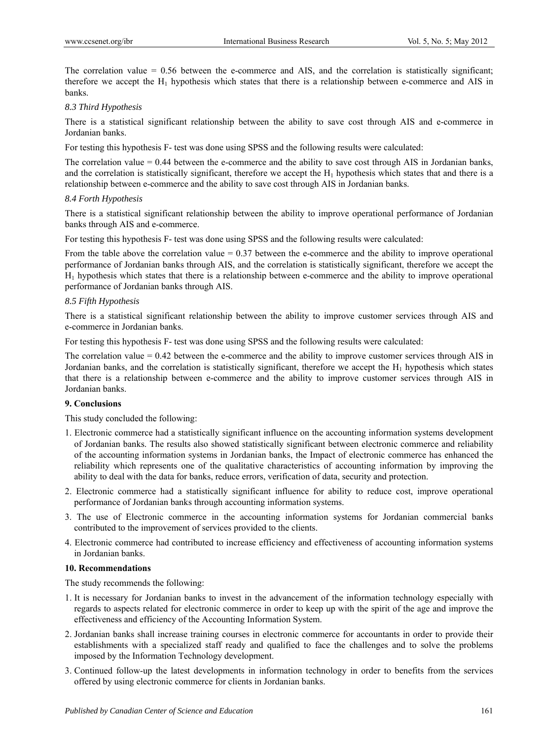The correlation value = 0.56 between the e-commerce and AIS, and the correlation is statistically significant; therefore we accept the  $H_1$  hypothesis which states that there is a relationship between e-commerce and AIS in banks.

## *8.3 Third Hypothesis*

There is a statistical significant relationship between the ability to save cost through AIS and e-commerce in Jordanian banks.

For testing this hypothesis F- test was done using SPSS and the following results were calculated:

The correlation value  $= 0.44$  between the e-commerce and the ability to save cost through AIS in Jordanian banks, and the correlation is statistically significant, therefore we accept the  $H_1$  hypothesis which states that and there is a relationship between e-commerce and the ability to save cost through AIS in Jordanian banks.

### *8.4 Forth Hypothesis*

There is a statistical significant relationship between the ability to improve operational performance of Jordanian banks through AIS and e-commerce.

For testing this hypothesis F- test was done using SPSS and the following results were calculated:

From the table above the correlation value  $= 0.37$  between the e-commerce and the ability to improve operational performance of Jordanian banks through AIS, and the correlation is statistically significant, therefore we accept the  $H_1$  hypothesis which states that there is a relationship between e-commerce and the ability to improve operational performance of Jordanian banks through AIS.

### *8.5 Fifth Hypothesis*

There is a statistical significant relationship between the ability to improve customer services through AIS and e-commerce in Jordanian banks.

For testing this hypothesis F- test was done using SPSS and the following results were calculated:

The correlation value = 0.42 between the e-commerce and the ability to improve customer services through AIS in Jordanian banks, and the correlation is statistically significant, therefore we accept the  $H_1$  hypothesis which states that there is a relationship between e-commerce and the ability to improve customer services through AIS in Jordanian banks.

### **9. Conclusions**

This study concluded the following:

- 1. Electronic commerce had a statistically significant influence on the accounting information systems development of Jordanian banks. The results also showed statistically significant between electronic commerce and reliability of the accounting information systems in Jordanian banks, the Impact of electronic commerce has enhanced the reliability which represents one of the qualitative characteristics of accounting information by improving the ability to deal with the data for banks, reduce errors, verification of data, security and protection.
- 2. Electronic commerce had a statistically significant influence for ability to reduce cost, improve operational performance of Jordanian banks through accounting information systems.
- 3. The use of Electronic commerce in the accounting information systems for Jordanian commercial banks contributed to the improvement of services provided to the clients.
- 4. Electronic commerce had contributed to increase efficiency and effectiveness of accounting information systems in Jordanian banks.

### **10. Recommendations**

The study recommends the following:

- 1. It is necessary for Jordanian banks to invest in the advancement of the information technology especially with regards to aspects related for electronic commerce in order to keep up with the spirit of the age and improve the effectiveness and efficiency of the Accounting Information System.
- 2. Jordanian banks shall increase training courses in electronic commerce for accountants in order to provide their establishments with a specialized staff ready and qualified to face the challenges and to solve the problems imposed by the Information Technology development.
- 3. Continued follow-up the latest developments in information technology in order to benefits from the services offered by using electronic commerce for clients in Jordanian banks.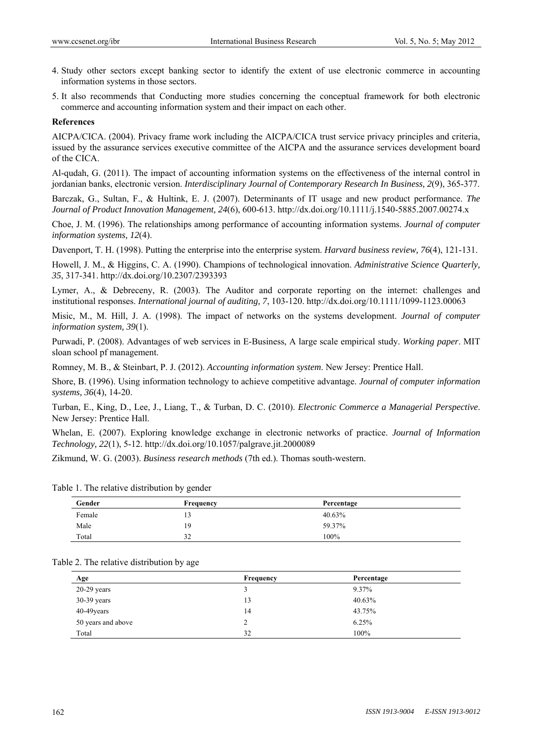- 4. Study other sectors except banking sector to identify the extent of use electronic commerce in accounting information systems in those sectors.
- 5. It also recommends that Conducting more studies concerning the conceptual framework for both electronic commerce and accounting information system and their impact on each other.

#### **References**

AICPA/CICA. (2004). Privacy frame work including the AICPA/CICA trust service privacy principles and criteria, issued by the assurance services executive committee of the AICPA and the assurance services development board of the CICA.

Al-qudah, G. (2011). The impact of accounting information systems on the effectiveness of the internal control in jordanian banks, electronic version. *Interdisciplinary Journal of Contemporary Research In Business, 2*(9), 365-377.

Barczak, G., Sultan, F., & Hultink, E. J. (2007). Determinants of IT usage and new product performance. *The Journal of Product Innovation Management, 24*(6), 600-613. http://dx.doi.org/10.1111/j.1540-5885.2007.00274.x

Choe, J. M. (1996). The relationships among performance of accounting information systems. *Journal of computer information systems, 12*(4).

Davenport, T. H. (1998). Putting the enterprise into the enterprise system. *Harvard business review, 76*(4), 121-131.

Howell, J. M., & Higgins, C. A. (1990). Champions of technological innovation. *Administrative Science Quarterly, 35*, 317-341. http://dx.doi.org/10.2307/2393393

Lymer, A., & Debreceny, R. (2003). The Auditor and corporate reporting on the internet: challenges and institutional responses. *International journal of auditing, 7*, 103-120. http://dx.doi.org/10.1111/1099-1123.00063

Misic, M., M. Hill, J. A. (1998). The impact of networks on the systems development. *Journal of computer information system, 39*(1).

Purwadi, P. (2008). Advantages of web services in E-Business, A large scale empirical study. *Working paper*. MIT sloan school pf management.

Romney, M. B., & Steinbart, P. J. (2012). *Accounting information system*. New Jersey: Prentice Hall.

Shore, B. (1996). Using information technology to achieve competitive advantage. *Journal of computer information systems, 36*(4), 14-20.

Turban, E., King, D., Lee, J., Liang, T., & Turban, D. C. (2010). *Electronic Commerce a Managerial Perspective*. New Jersey: Prentice Hall.

Whelan, E. (2007). Exploring knowledge exchange in electronic networks of practice. *Journal of Information Technology, 22*(1), 5-12. http://dx.doi.org/10.1057/palgrave.jit.2000089

Zikmund, W. G. (2003). *Business research methods* (7th ed.). Thomas south-western.

Table 1. The relative distribution by gender

| Gender | Frequency | Percentage |  |
|--------|-----------|------------|--|
| Female | 12        | 40.63%     |  |
| Male   | 19        | 59.37%     |  |
| Total  | 32        | 100%       |  |

|  | Table 2. The relative distribution by age |  |  |
|--|-------------------------------------------|--|--|
|--|-------------------------------------------|--|--|

| Age                | Frequency | Percentage |
|--------------------|-----------|------------|
| $20-29$ years      |           | 9.37%      |
| 30-39 years        | 13        | 40.63%     |
| 40-49 years        | 14        | 43.75%     |
| 50 years and above |           | 6.25%      |
| Total              | 32        | 100%       |